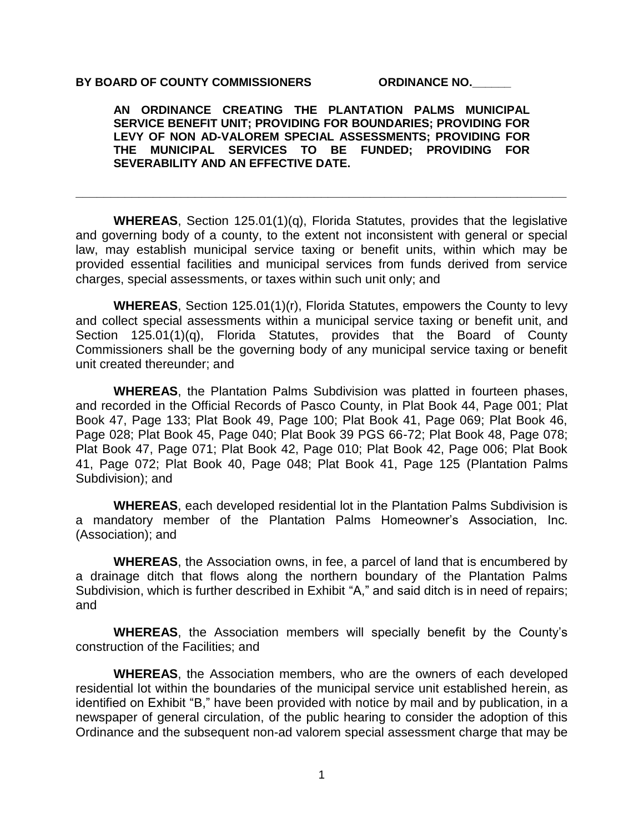### BY BOARD OF COUNTY COMMISSIONERS **ORDINANCE NO.**

**AN ORDINANCE CREATING THE PLANTATION PALMS MUNICIPAL SERVICE BENEFIT UNIT; PROVIDING FOR BOUNDARIES; PROVIDING FOR LEVY OF NON AD-VALOREM SPECIAL ASSESSMENTS; PROVIDING FOR THE MUNICIPAL SERVICES TO BE FUNDED; PROVIDING FOR SEVERABILITY AND AN EFFECTIVE DATE.** 

**WHEREAS**, Section 125.01(1)(q), Florida Statutes, provides that the legislative and governing body of a county, to the extent not inconsistent with general or special law, may establish municipal service taxing or benefit units, within which may be provided essential facilities and municipal services from funds derived from service charges, special assessments, or taxes within such unit only; and

**\_\_\_\_\_\_\_\_\_\_\_\_\_\_\_\_\_\_\_\_\_\_\_\_\_\_\_\_\_\_\_\_\_\_\_\_\_\_\_\_\_\_\_\_\_\_\_\_\_\_\_\_\_\_\_\_\_\_\_\_\_\_\_\_\_\_\_\_\_\_**

**WHEREAS**, Section 125.01(1)(r), Florida Statutes, empowers the County to levy and collect special assessments within a municipal service taxing or benefit unit, and Section 125.01(1)(q), Florida Statutes, provides that the Board of County Commissioners shall be the governing body of any municipal service taxing or benefit unit created thereunder; and

**WHEREAS**, the Plantation Palms Subdivision was platted in fourteen phases, and recorded in the Official Records of Pasco County, in Plat Book 44, Page 001; Plat Book 47, Page 133; Plat Book 49, Page 100; Plat Book 41, Page 069; Plat Book 46, Page 028; Plat Book 45, Page 040; Plat Book 39 PGS 66-72; Plat Book 48, Page 078; Plat Book 47, Page 071; Plat Book 42, Page 010; Plat Book 42, Page 006; Plat Book 41, Page 072; Plat Book 40, Page 048; Plat Book 41, Page 125 (Plantation Palms Subdivision); and

**WHEREAS**, each developed residential lot in the Plantation Palms Subdivision is a mandatory member of the Plantation Palms Homeowner's Association, Inc. (Association); and

**WHEREAS**, the Association owns, in fee, a parcel of land that is encumbered by a drainage ditch that flows along the northern boundary of the Plantation Palms Subdivision, which is further described in Exhibit "A," and said ditch is in need of repairs; and

**WHEREAS**, the Association members will specially benefit by the County's construction of the Facilities; and

**WHEREAS**, the Association members, who are the owners of each developed residential lot within the boundaries of the municipal service unit established herein. as identified on Exhibit "B," have been provided with notice by mail and by publication, in a newspaper of general circulation, of the public hearing to consider the adoption of this Ordinance and the subsequent non-ad valorem special assessment charge that may be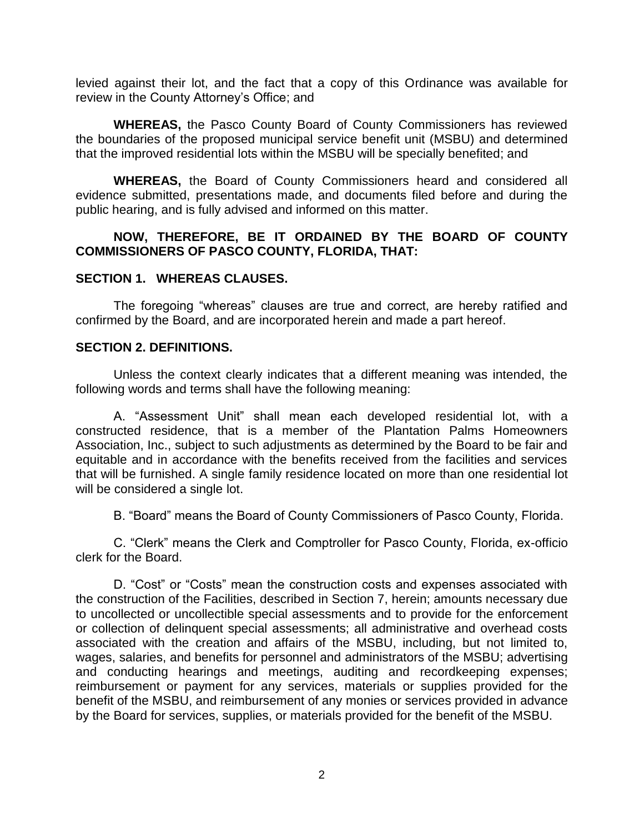levied against their lot, and the fact that a copy of this Ordinance was available for review in the County Attorney's Office; and

**WHEREAS,** the Pasco County Board of County Commissioners has reviewed the boundaries of the proposed municipal service benefit unit (MSBU) and determined that the improved residential lots within the MSBU will be specially benefited; and

**WHEREAS,** the Board of County Commissioners heard and considered all evidence submitted, presentations made, and documents filed before and during the public hearing, and is fully advised and informed on this matter.

## **NOW, THEREFORE, BE IT ORDAINED BY THE BOARD OF COUNTY COMMISSIONERS OF PASCO COUNTY, FLORIDA, THAT:**

## **SECTION 1. WHEREAS CLAUSES.**

The foregoing "whereas" clauses are true and correct, are hereby ratified and confirmed by the Board, and are incorporated herein and made a part hereof.

## **SECTION 2. DEFINITIONS.**

Unless the context clearly indicates that a different meaning was intended, the following words and terms shall have the following meaning:

A. "Assessment Unit" shall mean each developed residential lot, with a constructed residence, that is a member of the Plantation Palms Homeowners Association, Inc., subject to such adjustments as determined by the Board to be fair and equitable and in accordance with the benefits received from the facilities and services that will be furnished. A single family residence located on more than one residential lot will be considered a single lot.

B. "Board" means the Board of County Commissioners of Pasco County, Florida.

C. "Clerk" means the Clerk and Comptroller for Pasco County, Florida, ex-officio clerk for the Board.

D. "Cost" or "Costs" mean the construction costs and expenses associated with the construction of the Facilities, described in Section 7, herein; amounts necessary due to uncollected or uncollectible special assessments and to provide for the enforcement or collection of delinquent special assessments; all administrative and overhead costs associated with the creation and affairs of the MSBU, including, but not limited to, wages, salaries, and benefits for personnel and administrators of the MSBU; advertising and conducting hearings and meetings, auditing and recordkeeping expenses; reimbursement or payment for any services, materials or supplies provided for the benefit of the MSBU, and reimbursement of any monies or services provided in advance by the Board for services, supplies, or materials provided for the benefit of the MSBU.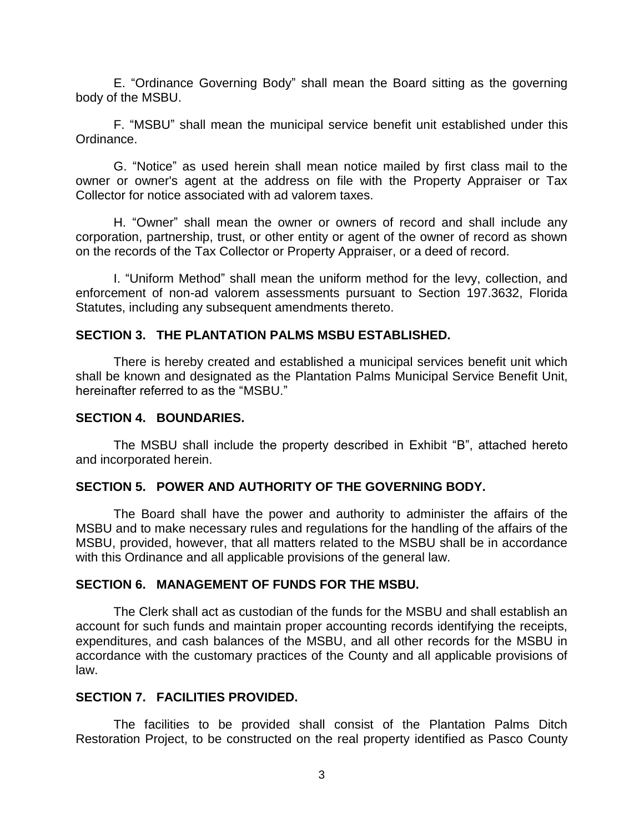E. "Ordinance Governing Body" shall mean the Board sitting as the governing body of the MSBU.

F. "MSBU" shall mean the municipal service benefit unit established under this Ordinance.

G. "Notice" as used herein shall mean notice mailed by first class mail to the owner or owner's agent at the address on file with the Property Appraiser or Tax Collector for notice associated with ad valorem taxes.

H. "Owner" shall mean the owner or owners of record and shall include any corporation, partnership, trust, or other entity or agent of the owner of record as shown on the records of the Tax Collector or Property Appraiser, or a deed of record.

I. "Uniform Method" shall mean the uniform method for the levy, collection, and enforcement of non-ad valorem assessments pursuant to Section 197.3632, Florida Statutes, including any subsequent amendments thereto.

## **SECTION 3. THE PLANTATION PALMS MSBU ESTABLISHED.**

There is hereby created and established a municipal services benefit unit which shall be known and designated as the Plantation Palms Municipal Service Benefit Unit, hereinafter referred to as the "MSBU."

## **SECTION 4. BOUNDARIES.**

The MSBU shall include the property described in Exhibit "B", attached hereto and incorporated herein.

## **SECTION 5. POWER AND AUTHORITY OF THE GOVERNING BODY.**

The Board shall have the power and authority to administer the affairs of the MSBU and to make necessary rules and regulations for the handling of the affairs of the MSBU, provided, however, that all matters related to the MSBU shall be in accordance with this Ordinance and all applicable provisions of the general law.

## **SECTION 6. MANAGEMENT OF FUNDS FOR THE MSBU.**

The Clerk shall act as custodian of the funds for the MSBU and shall establish an account for such funds and maintain proper accounting records identifying the receipts, expenditures, and cash balances of the MSBU, and all other records for the MSBU in accordance with the customary practices of the County and all applicable provisions of law.

## **SECTION 7. FACILITIES PROVIDED.**

The facilities to be provided shall consist of the Plantation Palms Ditch Restoration Project, to be constructed on the real property identified as Pasco County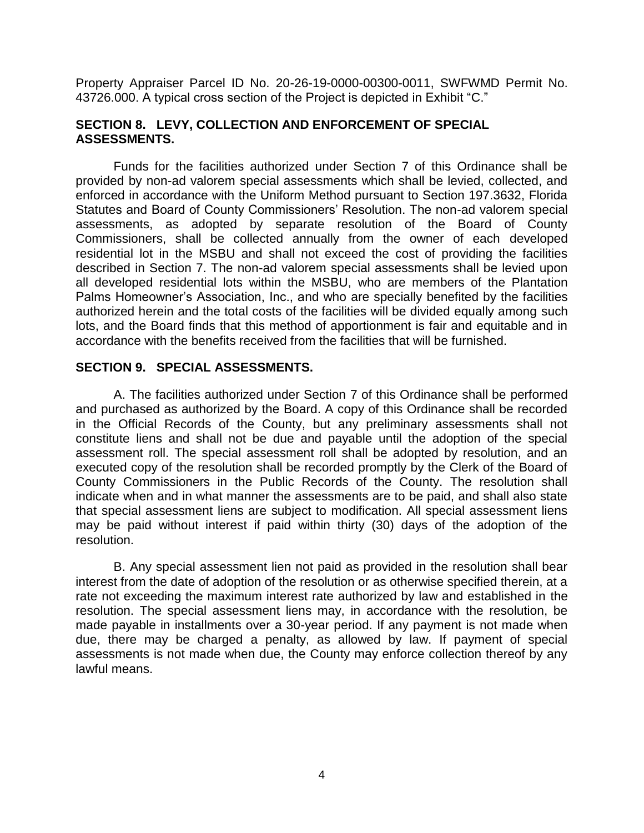Property Appraiser Parcel ID No. 20-26-19-0000-00300-0011, SWFWMD Permit No. 43726.000. A typical cross section of the Project is depicted in Exhibit "C."

## **SECTION 8. LEVY, COLLECTION AND ENFORCEMENT OF SPECIAL ASSESSMENTS.**

Funds for the facilities authorized under Section 7 of this Ordinance shall be provided by non-ad valorem special assessments which shall be levied, collected, and enforced in accordance with the Uniform Method pursuant to Section 197.3632, Florida Statutes and Board of County Commissioners' Resolution. The non-ad valorem special assessments, as adopted by separate resolution of the Board of County Commissioners, shall be collected annually from the owner of each developed residential lot in the MSBU and shall not exceed the cost of providing the facilities described in Section 7. The non-ad valorem special assessments shall be levied upon all developed residential lots within the MSBU, who are members of the Plantation Palms Homeowner's Association, Inc., and who are specially benefited by the facilities authorized herein and the total costs of the facilities will be divided equally among such lots, and the Board finds that this method of apportionment is fair and equitable and in accordance with the benefits received from the facilities that will be furnished.

## **SECTION 9. SPECIAL ASSESSMENTS.**

A. The facilities authorized under Section 7 of this Ordinance shall be performed and purchased as authorized by the Board. A copy of this Ordinance shall be recorded in the Official Records of the County, but any preliminary assessments shall not constitute liens and shall not be due and payable until the adoption of the special assessment roll. The special assessment roll shall be adopted by resolution, and an executed copy of the resolution shall be recorded promptly by the Clerk of the Board of County Commissioners in the Public Records of the County. The resolution shall indicate when and in what manner the assessments are to be paid, and shall also state that special assessment liens are subject to modification. All special assessment liens may be paid without interest if paid within thirty (30) days of the adoption of the resolution.

B. Any special assessment lien not paid as provided in the resolution shall bear interest from the date of adoption of the resolution or as otherwise specified therein, at a rate not exceeding the maximum interest rate authorized by law and established in the resolution. The special assessment liens may, in accordance with the resolution, be made payable in installments over a 30-year period. If any payment is not made when due, there may be charged a penalty, as allowed by law. If payment of special assessments is not made when due, the County may enforce collection thereof by any lawful means.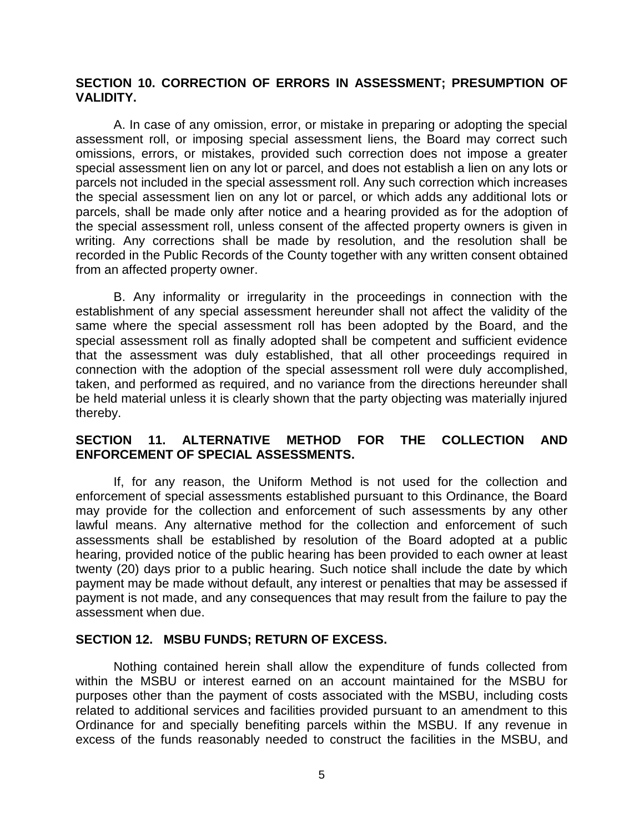## **SECTION 10. CORRECTION OF ERRORS IN ASSESSMENT; PRESUMPTION OF VALIDITY.**

A. In case of any omission, error, or mistake in preparing or adopting the special assessment roll, or imposing special assessment liens, the Board may correct such omissions, errors, or mistakes, provided such correction does not impose a greater special assessment lien on any lot or parcel, and does not establish a lien on any lots or parcels not included in the special assessment roll. Any such correction which increases the special assessment lien on any lot or parcel, or which adds any additional lots or parcels, shall be made only after notice and a hearing provided as for the adoption of the special assessment roll, unless consent of the affected property owners is given in writing. Any corrections shall be made by resolution, and the resolution shall be recorded in the Public Records of the County together with any written consent obtained from an affected property owner.

B. Any informality or irregularity in the proceedings in connection with the establishment of any special assessment hereunder shall not affect the validity of the same where the special assessment roll has been adopted by the Board, and the special assessment roll as finally adopted shall be competent and sufficient evidence that the assessment was duly established, that all other proceedings required in connection with the adoption of the special assessment roll were duly accomplished, taken, and performed as required, and no variance from the directions hereunder shall be held material unless it is clearly shown that the party objecting was materially injured thereby.

## **SECTION 11. ALTERNATIVE METHOD FOR THE COLLECTION AND ENFORCEMENT OF SPECIAL ASSESSMENTS.**

If, for any reason, the Uniform Method is not used for the collection and enforcement of special assessments established pursuant to this Ordinance, the Board may provide for the collection and enforcement of such assessments by any other lawful means. Any alternative method for the collection and enforcement of such assessments shall be established by resolution of the Board adopted at a public hearing, provided notice of the public hearing has been provided to each owner at least twenty (20) days prior to a public hearing. Such notice shall include the date by which payment may be made without default, any interest or penalties that may be assessed if payment is not made, and any consequences that may result from the failure to pay the assessment when due.

## **SECTION 12. MSBU FUNDS; RETURN OF EXCESS.**

Nothing contained herein shall allow the expenditure of funds collected from within the MSBU or interest earned on an account maintained for the MSBU for purposes other than the payment of costs associated with the MSBU, including costs related to additional services and facilities provided pursuant to an amendment to this Ordinance for and specially benefiting parcels within the MSBU. If any revenue in excess of the funds reasonably needed to construct the facilities in the MSBU, and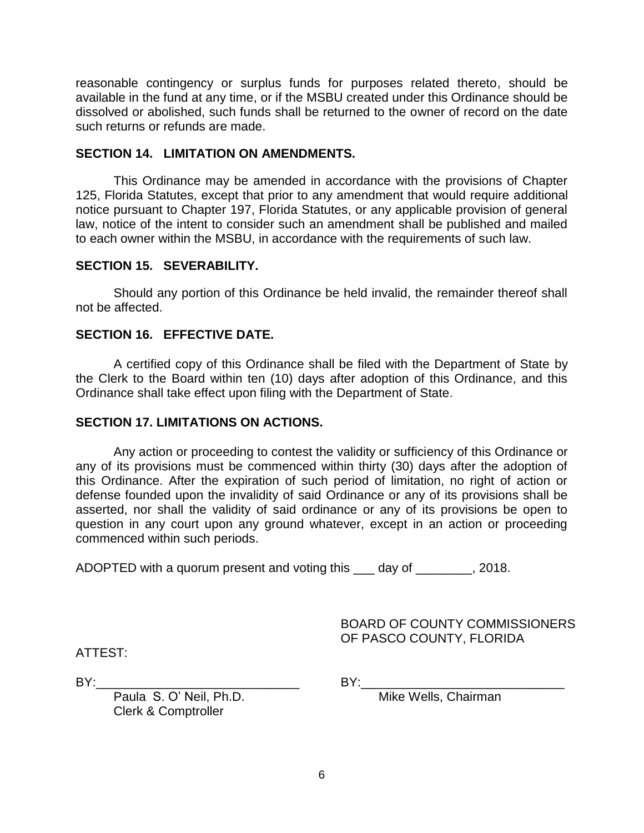reasonable contingency or surplus funds for purposes related thereto, should be available in the fund at any time, or if the MSBU created under this Ordinance should be dissolved or abolished, such funds shall be returned to the owner of record on the date such returns or refunds are made.

## **SECTION 14. LIMITATION ON AMENDMENTS.**

This Ordinance may be amended in accordance with the provisions of Chapter 125, Florida Statutes, except that prior to any amendment that would require additional notice pursuant to Chapter 197, Florida Statutes, or any applicable provision of general law, notice of the intent to consider such an amendment shall be published and mailed to each owner within the MSBU, in accordance with the requirements of such law.

# **SECTION 15. SEVERABILITY.**

Should any portion of this Ordinance be held invalid, the remainder thereof shall not be affected.

# **SECTION 16. EFFECTIVE DATE.**

A certified copy of this Ordinance shall be filed with the Department of State by the Clerk to the Board within ten (10) days after adoption of this Ordinance, and this Ordinance shall take effect upon filing with the Department of State.

# **SECTION 17. LIMITATIONS ON ACTIONS.**

Any action or proceeding to contest the validity or sufficiency of this Ordinance or any of its provisions must be commenced within thirty (30) days after the adoption of this Ordinance. After the expiration of such period of limitation, no right of action or defense founded upon the invalidity of said Ordinance or any of its provisions shall be asserted, nor shall the validity of said ordinance or any of its provisions be open to question in any court upon any ground whatever, except in an action or proceeding commenced within such periods.

ADOPTED with a quorum present and voting this \_\_\_ day of \_\_\_\_\_\_\_\_, 2018.

BOARD OF COUNTY COMMISSIONERS OF PASCO COUNTY, FLORIDA

ATTEST:

BY:\_\_\_\_\_\_\_\_\_\_\_\_\_\_\_\_\_\_\_\_\_\_\_\_\_\_\_\_\_ BY:\_\_\_\_\_\_\_\_\_\_\_\_\_\_\_\_\_\_\_\_\_\_\_\_\_\_\_\_\_

Paula S. O' Neil, Ph.D. Mike Wells, Chairman

Clerk & Comptroller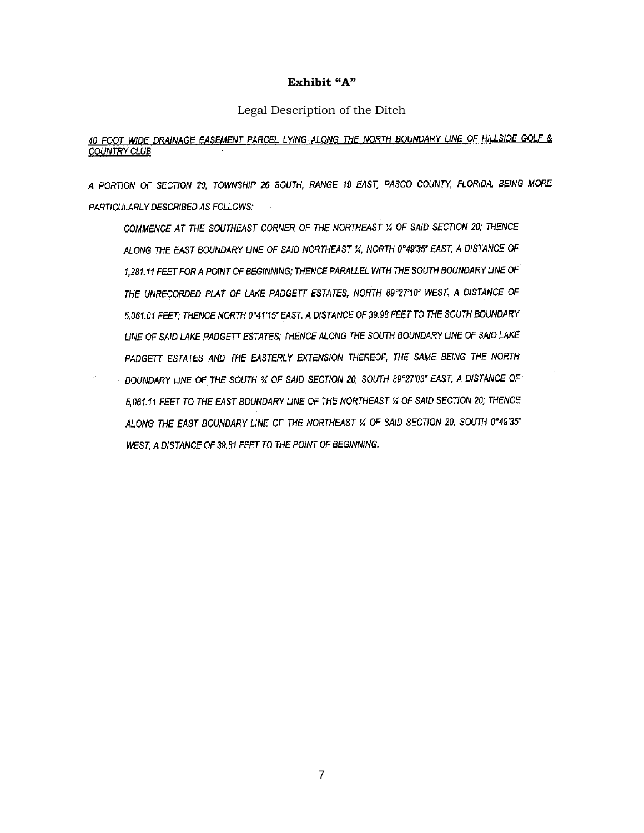### **Exhibit "A"**

#### Legal Description of the Ditch

## 40 FOOT WIDE DRAINAGE EASEMENT PARCEL LYING ALONG THE NORTH BOUNDARY LINE OF HILLSIDE GOLF & **COUNTRY CLUB**

A PORTION OF SECTION 20, TOWNSHIP 26 SOUTH, RANGE 19 EAST, PASCO COUNTY, FLORIDA, BEING MORE PARTICULARLY DESCRIBED AS FOLLOWS:

COMMENCE AT THE SOUTHEAST CORNER OF THE NORTHEAST % OF SAID SECTION 20; THENCE ALONG THE EAST BOUNDARY LINE OF SAID NORTHEAST %, NORTH 0°49'35" EAST, A DISTANCE OF 1,281.11 FEET FOR A POINT OF BEGINNING; THENCE PARALLEL WITH THE SOUTH BOUNDARY LINE OF THE UNRECORDED PLAT OF LAKE PADGETT ESTATES, NORTH 89°27'10" WEST, A DISTANCE OF 5,061.01 FEET; THENCE NORTH 0°41'15" EAST, A DISTANCE OF 39,98 FEET TO THE SOUTH BOUNDARY LINE OF SAID LAKE PADGETT ESTATES; THENCE ALONG THE SOUTH BOUNDARY LINE OF SAID LAKE PADGETT ESTATES AND THE EASTERLY EXTENSION THEREOF, THE SAME BEING THE NORTH BOUNDARY LINE OF THE SOUTH % OF SAID SECTION 20, SOUTH 89°27'03" EAST, A DISTANCE OF 5,061.11 FEET TO THE EAST BOUNDARY LINE OF THE NORTHEAST % OF SAID SECTION 20; THENCE ALONG THE EAST BOUNDARY LINE OF THE NORTHEAST % OF SAID SECTION 20, SOUTH 0°49'35" WEST, A DISTANCE OF 39.81 FEET TO THE POINT OF BEGINNING.

7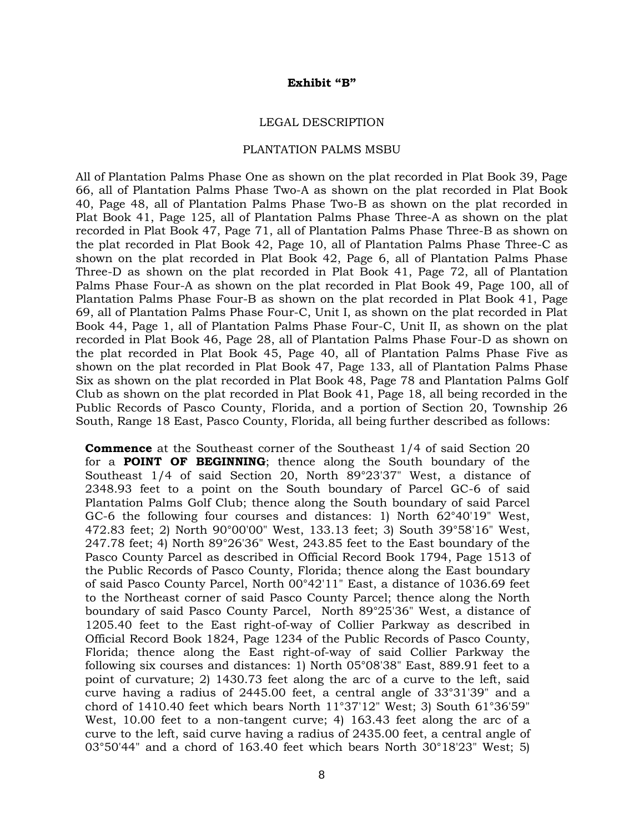#### **Exhibit "B"**

#### LEGAL DESCRIPTION

#### PLANTATION PALMS MSBU

All of Plantation Palms Phase One as shown on the plat recorded in Plat Book 39, Page 66, all of Plantation Palms Phase Two-A as shown on the plat recorded in Plat Book 40, Page 48, all of Plantation Palms Phase Two-B as shown on the plat recorded in Plat Book 41, Page 125, all of Plantation Palms Phase Three-A as shown on the plat recorded in Plat Book 47, Page 71, all of Plantation Palms Phase Three-B as shown on the plat recorded in Plat Book 42, Page 10, all of Plantation Palms Phase Three-C as shown on the plat recorded in Plat Book 42, Page 6, all of Plantation Palms Phase Three-D as shown on the plat recorded in Plat Book 41, Page 72, all of Plantation Palms Phase Four-A as shown on the plat recorded in Plat Book 49, Page 100, all of Plantation Palms Phase Four-B as shown on the plat recorded in Plat Book 41, Page 69, all of Plantation Palms Phase Four-C, Unit I, as shown on the plat recorded in Plat Book 44, Page 1, all of Plantation Palms Phase Four-C, Unit II, as shown on the plat recorded in Plat Book 46, Page 28, all of Plantation Palms Phase Four-D as shown on the plat recorded in Plat Book 45, Page 40, all of Plantation Palms Phase Five as shown on the plat recorded in Plat Book 47, Page 133, all of Plantation Palms Phase Six as shown on the plat recorded in Plat Book 48, Page 78 and Plantation Palms Golf Club as shown on the plat recorded in Plat Book 41, Page 18, all being recorded in the Public Records of Pasco County, Florida, and a portion of Section 20, Township 26 South, Range 18 East, Pasco County, Florida, all being further described as follows:

**Commence** at the Southeast corner of the Southeast 1/4 of said Section 20 for a **POINT OF BEGINNING**; thence along the South boundary of the Southeast 1/4 of said Section 20, North 89°23'37" West, a distance of 2348.93 feet to a point on the South boundary of Parcel GC-6 of said Plantation Palms Golf Club; thence along the South boundary of said Parcel GC-6 the following four courses and distances: 1) North 62°40'19" West, 472.83 feet; 2) North 90°00'00" West, 133.13 feet; 3) South 39°58'16" West, 247.78 feet; 4) North 89°26'36" West, 243.85 feet to the East boundary of the Pasco County Parcel as described in Official Record Book 1794, Page 1513 of the Public Records of Pasco County, Florida; thence along the East boundary of said Pasco County Parcel, North 00°42'11" East, a distance of 1036.69 feet to the Northeast corner of said Pasco County Parcel; thence along the North boundary of said Pasco County Parcel, North 89°25'36" West, a distance of 1205.40 feet to the East right-of-way of Collier Parkway as described in Official Record Book 1824, Page 1234 of the Public Records of Pasco County, Florida; thence along the East right-of-way of said Collier Parkway the following six courses and distances: 1) North 05°08'38" East, 889.91 feet to a point of curvature; 2) 1430.73 feet along the arc of a curve to the left, said curve having a radius of 2445.00 feet, a central angle of 33°31'39" and a chord of 1410.40 feet which bears North 11°37'12" West; 3) South 61°36'59" West, 10.00 feet to a non-tangent curve; 4) 163.43 feet along the arc of a curve to the left, said curve having a radius of 2435.00 feet, a central angle of 03°50'44" and a chord of 163.40 feet which bears North 30°18'23" West; 5)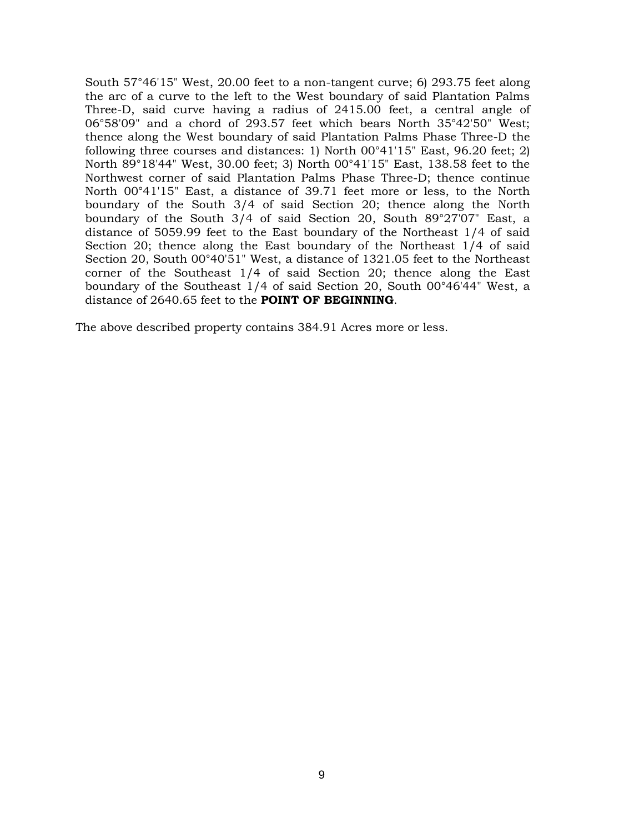South 57°46'15" West, 20.00 feet to a non-tangent curve; 6) 293.75 feet along the arc of a curve to the left to the West boundary of said Plantation Palms Three-D, said curve having a radius of 2415.00 feet, a central angle of 06°58'09" and a chord of 293.57 feet which bears North 35°42'50" West; thence along the West boundary of said Plantation Palms Phase Three-D the following three courses and distances: 1) North 00°41'15" East, 96.20 feet; 2) North 89°18'44" West, 30.00 feet; 3) North 00°41'15" East, 138.58 feet to the Northwest corner of said Plantation Palms Phase Three-D; thence continue North 00°41'15" East, a distance of 39.71 feet more or less, to the North boundary of the South 3/4 of said Section 20; thence along the North boundary of the South 3/4 of said Section 20, South 89°27'07" East, a distance of 5059.99 feet to the East boundary of the Northeast 1/4 of said Section 20; thence along the East boundary of the Northeast 1/4 of said Section 20, South 00°40'51" West, a distance of 1321.05 feet to the Northeast corner of the Southeast 1/4 of said Section 20; thence along the East boundary of the Southeast 1/4 of said Section 20, South 00°46'44" West, a distance of 2640.65 feet to the **POINT OF BEGINNING**.

The above described property contains 384.91 Acres more or less.